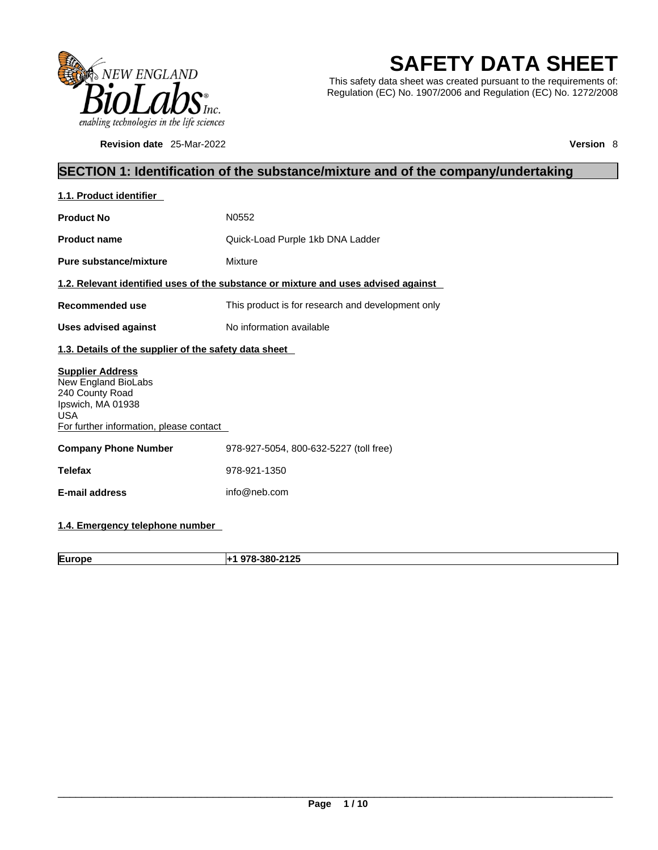

**Revision date** 25-Mar-2022 **Version** 8

# **SAFETY DATA SHEET**

This safety data sheet was created pursuant to the requirements of: Regulation (EC) No. 1907/2006 and Regulation (EC) No. 1272/2008

## **SECTION 1: Identification of the substance/mixture and of the company/undertaking**

| 1.1. Product identifier                                                                                                                         |                                                                                    |  |  |
|-------------------------------------------------------------------------------------------------------------------------------------------------|------------------------------------------------------------------------------------|--|--|
| <b>Product No</b>                                                                                                                               | N0552                                                                              |  |  |
| <b>Product name</b>                                                                                                                             | Quick-Load Purple 1kb DNA Ladder                                                   |  |  |
| Pure substance/mixture                                                                                                                          | Mixture                                                                            |  |  |
|                                                                                                                                                 | 1.2. Relevant identified uses of the substance or mixture and uses advised against |  |  |
| <b>Recommended use</b>                                                                                                                          | This product is for research and development only                                  |  |  |
| <b>Uses advised against</b>                                                                                                                     | No information available                                                           |  |  |
| 1.3. Details of the supplier of the safety data sheet                                                                                           |                                                                                    |  |  |
| <b>Supplier Address</b><br>New England BioLabs<br>240 County Road<br>Ipswich, MA 01938<br><b>USA</b><br>For further information, please contact |                                                                                    |  |  |
| <b>Company Phone Number</b>                                                                                                                     | 978-927-5054, 800-632-5227 (toll free)                                             |  |  |
| <b>Telefax</b>                                                                                                                                  | 978-921-1350                                                                       |  |  |
| <b>E-mail address</b>                                                                                                                           | info@neb.com                                                                       |  |  |
|                                                                                                                                                 |                                                                                    |  |  |

## **1.4. Emergency telephone number**

**Europe +1 978-380-2125**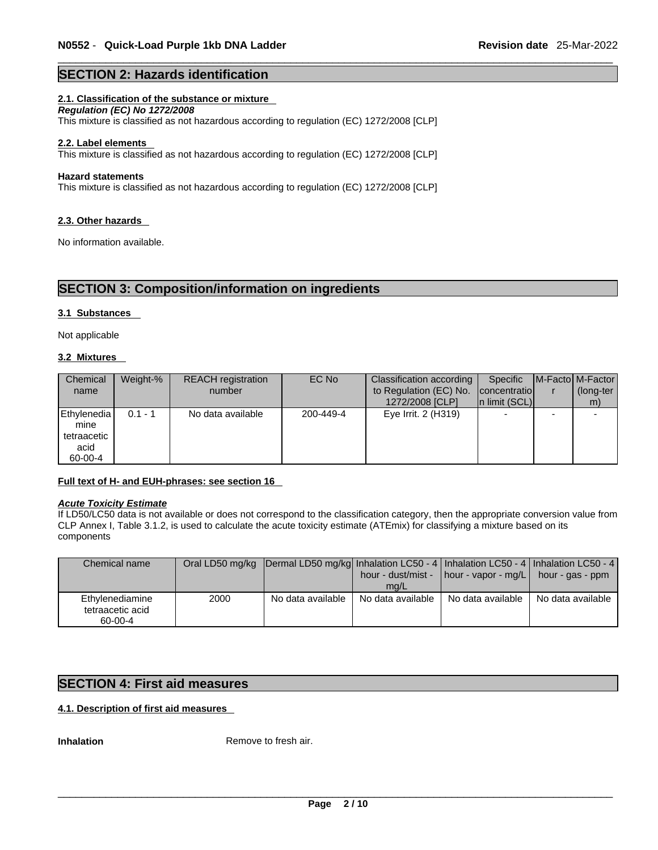#### **SECTION 2: Hazards identification**

#### **2.1. Classification of the substance or mixture**

*Regulation (EC) No 1272/2008* 

This mixture is classified as not hazardous according to regulation (EC) 1272/2008 [CLP]

#### **2.2. Label elements**

This mixture is classified as not hazardous according to regulation (EC) 1272/2008 [CLP]

#### **Hazard statements**

This mixture is classified as not hazardous according to regulation (EC) 1272/2008 [CLP]

#### **2.3. Other hazards**

No information available.

## **SECTION 3: Composition/information on ingredients**

#### **3.1 Substances**

Not applicable

#### **3.2 Mixtures**

| Chemical<br>name                           | Weight-%  | <b>REACH</b> registration<br>number | EC No     | Classification according  <br>to Regulation (EC) No. | Specific<br>concentratio | <b>IM-Factol M-Factor</b><br>(long-ter |
|--------------------------------------------|-----------|-------------------------------------|-----------|------------------------------------------------------|--------------------------|----------------------------------------|
|                                            |           |                                     |           | 1272/2008 [CLP]                                      | In limit (SCL)           | m)                                     |
| Ethylenedia<br>mine<br>tetraacetic<br>acid | $0.1 - 1$ | No data available                   | 200-449-4 | Eye Irrit. 2 (H319)                                  |                          |                                        |
| 60-00-4                                    |           |                                     |           |                                                      |                          |                                        |

#### **Full text of H- and EUH-phrases: see section 16**

#### *Acute Toxicity Estimate*

If LD50/LC50 data is not available or does not correspond to the classification category, then the appropriate conversion value from CLP Annex I, Table 3.1.2, is used to calculate the acute toxicity estimate (ATEmix) for classifying a mixture based on its components

| Chemical name                                  |      | Oral LD50 mg/kg  Dermal LD50 mg/kg  Inhalation LC50 - 4   Inhalation LC50 - 4   Inhalation LC50 - 4 |                           | hour - dust/mist - $\vert$ hour - vapor - mg/L $\vert$ hour - gas - ppm |                   |  |
|------------------------------------------------|------|-----------------------------------------------------------------------------------------------------|---------------------------|-------------------------------------------------------------------------|-------------------|--|
| Ethylenediamine<br>tetraacetic acid<br>60-00-4 | 2000 | No data available                                                                                   | mq/L<br>No data available | No data available                                                       | No data available |  |

#### **SECTION 4: First aid measures**

#### **4.1. Description of first aid measures**

**Inhalation** Remove to fresh air.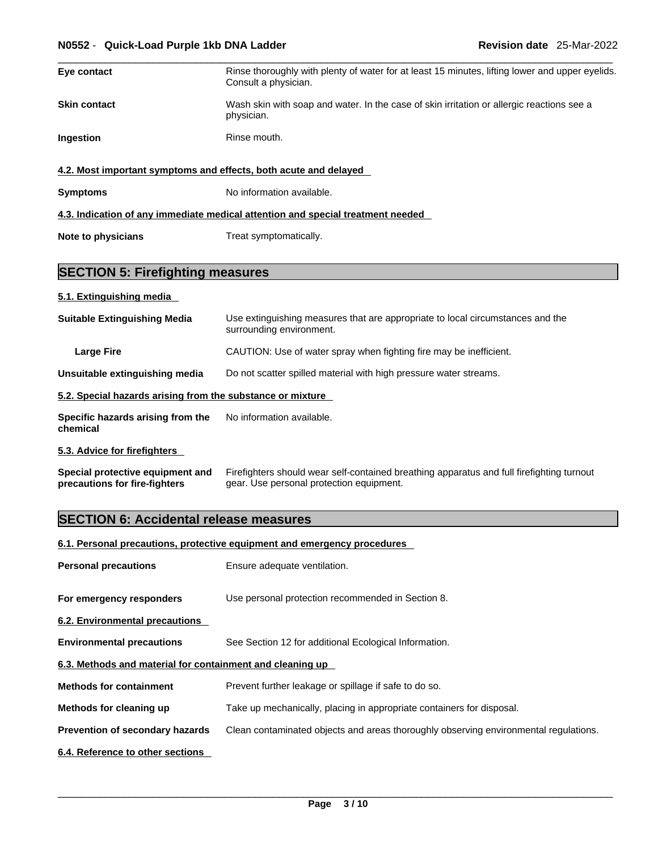| Eye contact         | Rinse thoroughly with plenty of water for at least 15 minutes, lifting lower and upper eyelids.<br>Consult a physician. |
|---------------------|-------------------------------------------------------------------------------------------------------------------------|
| <b>Skin contact</b> | Wash skin with soap and water. In the case of skin irritation or allergic reactions see a<br>physician.                 |
| <b>Ingestion</b>    | Rinse mouth.                                                                                                            |
|                     | 4.2. Most important symptoms and effects, both acute and delayed                                                        |
| <b>Symptoms</b>     | No information available.                                                                                               |
|                     | 4.3. Indication of any immediate medical attention and special treatment needed                                         |

**Note to physicians** Treat symptomatically.

## **SECTION 5: Firefighting measures**

## **5.1. Extinguishing media**

| <b>Suitable Extinguishing Media</b>                        | Use extinguishing measures that are appropriate to local circumstances and the<br>surrounding environment. |
|------------------------------------------------------------|------------------------------------------------------------------------------------------------------------|
| Large Fire                                                 | CAUTION: Use of water spray when fighting fire may be inefficient.                                         |
| Unsuitable extinguishing media                             | Do not scatter spilled material with high pressure water streams.                                          |
| 5.2. Special hazards arising from the substance or mixture |                                                                                                            |
| Specific hazards arising from the<br>chemical              | No information available.                                                                                  |
| 5.3. Advice for firefighters                               |                                                                                                            |

| Special protective equipment and | Firefighters should wear self-contained breathing apparatus and full firefighting turnout |
|----------------------------------|-------------------------------------------------------------------------------------------|
| precautions for fire-fighters    | gear. Use personal protection equipment.                                                  |

# **SECTION 6: Accidental release measures**

#### **6.1. Personal precautions, protective equipment and emergency procedures**

| <b>Personal precautions</b>                               | Ensure adequate ventilation.                                                         |
|-----------------------------------------------------------|--------------------------------------------------------------------------------------|
| For emergency responders                                  | Use personal protection recommended in Section 8.                                    |
| 6.2. Environmental precautions                            |                                                                                      |
| <b>Environmental precautions</b>                          | See Section 12 for additional Ecological Information.                                |
| 6.3. Methods and material for containment and cleaning up |                                                                                      |
| <b>Methods for containment</b>                            | Prevent further leakage or spillage if safe to do so.                                |
| Methods for cleaning up                                   | Take up mechanically, placing in appropriate containers for disposal.                |
| Prevention of secondary hazards                           | Clean contaminated objects and areas thoroughly observing environmental regulations. |
| 6.4. Reference to other sections                          |                                                                                      |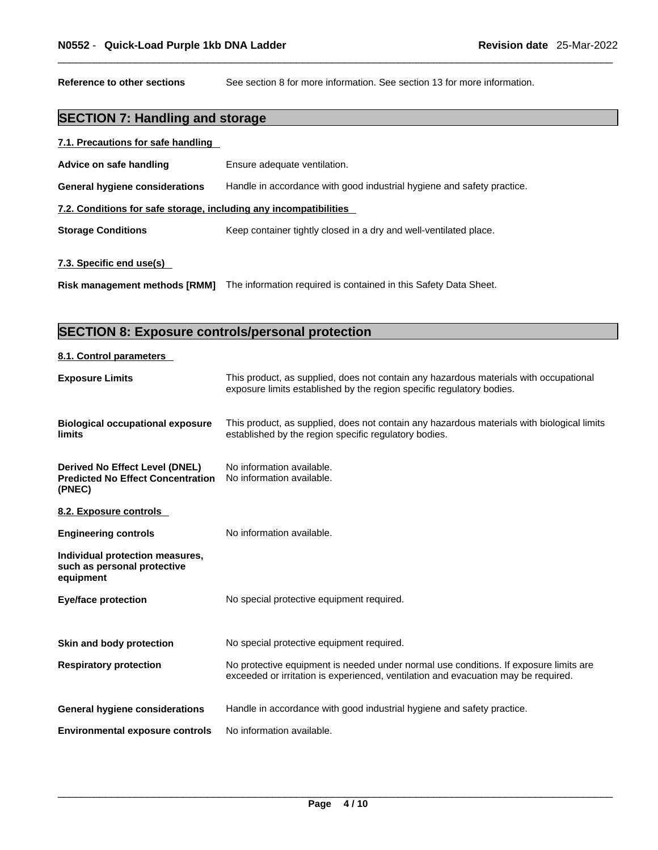**Reference to other sections** See section 8 for more information. See section 13 for more information.

## **SECTION 7: Handling and storage**

| 7.1. Precautions for safe handling |  |
|------------------------------------|--|
|                                    |  |

| Advice on safe handling                                           | Ensure adequate ventilation.                                           |
|-------------------------------------------------------------------|------------------------------------------------------------------------|
| <b>General hygiene considerations</b>                             | Handle in accordance with good industrial hygiene and safety practice. |
| 7.2. Conditions for safe storage, including any incompatibilities |                                                                        |
| <b>Storage Conditions</b>                                         | Keep container tightly closed in a dry and well-ventilated place.      |
| 7.3. Specific end use(s)                                          |                                                                        |
| <b>Risk management methods [RMM]</b>                              | The information required is contained in this Safety Data Sheet.       |

## **SECTION 8: Exposure controls/personal protection**

#### **8.1. Control parameters**

| This product, as supplied, does not contain any hazardous materials with occupational<br>exposure limits established by the region specific regulatory bodies.              |
|-----------------------------------------------------------------------------------------------------------------------------------------------------------------------------|
| This product, as supplied, does not contain any hazardous materials with biological limits<br>established by the region specific regulatory bodies.                         |
| No information available.<br>No information available.                                                                                                                      |
|                                                                                                                                                                             |
| No information available.                                                                                                                                                   |
|                                                                                                                                                                             |
| No special protective equipment required.                                                                                                                                   |
| No special protective equipment required.                                                                                                                                   |
| No protective equipment is needed under normal use conditions. If exposure limits are<br>exceeded or irritation is experienced, ventilation and evacuation may be required. |
| Handle in accordance with good industrial hygiene and safety practice.                                                                                                      |
| No information available.                                                                                                                                                   |
|                                                                                                                                                                             |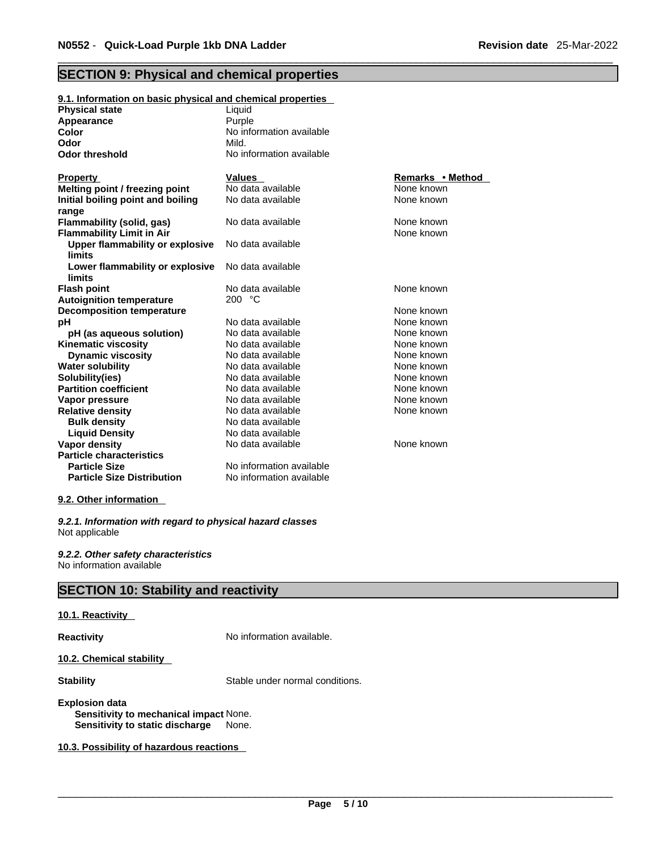## **SECTION 9: Physical and chemical properties**

| 9.1. Information on basic physical and chemical properties |                          |                  |
|------------------------------------------------------------|--------------------------|------------------|
| <b>Physical state</b>                                      | Liquid                   |                  |
| Appearance                                                 | Purple                   |                  |
| Color                                                      | No information available |                  |
| Odor                                                       | Mild.                    |                  |
| <b>Odor threshold</b>                                      | No information available |                  |
|                                                            |                          |                  |
| <b>Property</b>                                            | <b>Values</b>            | Remarks • Method |
| Melting point / freezing point                             | No data available        | None known       |
| Initial boiling point and boiling                          | No data available        | None known       |
| range                                                      |                          |                  |
| Flammability (solid, gas)                                  | No data available        | None known       |
| <b>Flammability Limit in Air</b>                           |                          | None known       |
| Upper flammability or explosive                            | No data available        |                  |
| limits                                                     |                          |                  |
| Lower flammability or explosive                            | No data available        |                  |
| limits                                                     |                          |                  |
| <b>Flash point</b>                                         | No data available        | None known       |
| <b>Autoignition temperature</b>                            | 200 $°C$                 |                  |
| <b>Decomposition temperature</b>                           |                          | None known       |
| pH                                                         | No data available        | None known       |
| pH (as aqueous solution)                                   | No data available        | None known       |
| <b>Kinematic viscosity</b>                                 | No data available        | None known       |
| <b>Dynamic viscosity</b>                                   | No data available        | None known       |
| <b>Water solubility</b>                                    | No data available        | None known       |
| Solubility(ies)                                            | No data available        | None known       |
| <b>Partition coefficient</b>                               | No data available        | None known       |
| Vapor pressure                                             | No data available        | None known       |
| <b>Relative density</b>                                    | No data available        | None known       |
| <b>Bulk density</b>                                        | No data available        |                  |
| <b>Liquid Density</b>                                      | No data available        |                  |
| <b>Vapor density</b>                                       | No data available        | None known       |
| <b>Particle characteristics</b>                            |                          |                  |
| <b>Particle Size</b>                                       | No information available |                  |
| <b>Particle Size Distribution</b>                          | No information available |                  |

#### **9.2. Other information**

*9.2.1. Information with regard to physical hazard classes* Not applicable

*9.2.2. Other safety characteristics* No information available

## **SECTION 10: Stability and reactivity**

#### **10.1. Reactivity**

**Reactivity No information available.** 

**10.2. Chemical stability** 

**Stability** Stable under normal conditions.

#### **Explosion data Sensitivity to mechanical impact** None. **Sensitivity to static discharge** None.

**10.3. Possibility of hazardous reactions**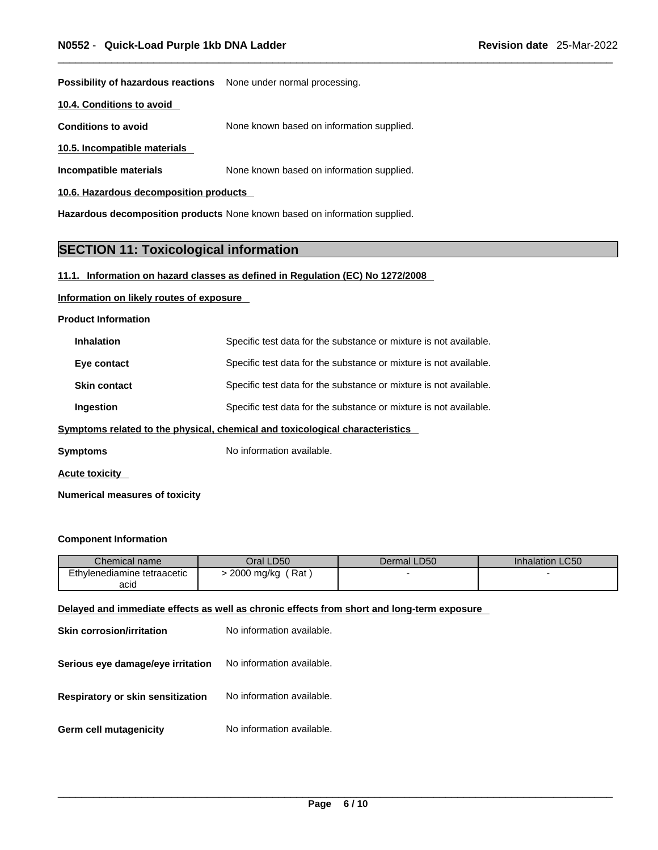**Possibility of hazardous reactions** None under normal processing.

**10.4. Conditions to avoid** 

**Conditions to avoid** None known based on information supplied.

**10.5. Incompatible materials**

**Incompatible materials** None known based on information supplied.

**10.6. Hazardous decomposition products** 

**Hazardous decomposition products** None known based on information supplied.

## **SECTION 11: Toxicological information**

#### **11.1. Information on hazard classes as defined in Regulation (EC) No 1272/2008**

#### **Information on likely routes of exposure**

**Product Information**

| <b>Inhalation</b>                                                            | Specific test data for the substance or mixture is not available. |  |
|------------------------------------------------------------------------------|-------------------------------------------------------------------|--|
| Eye contact                                                                  | Specific test data for the substance or mixture is not available. |  |
| <b>Skin contact</b>                                                          | Specific test data for the substance or mixture is not available. |  |
| Ingestion                                                                    | Specific test data for the substance or mixture is not available. |  |
| Symptoms related to the physical, chemical and toxicological characteristics |                                                                   |  |

**Symptoms** No information available.

**Acute toxicity** 

**Numerical measures of toxicity**

#### **Component Information**

| Chemical name               | Oral LD50         | Dermal LD50 | <b>Inhalation LC50</b> |
|-----------------------------|-------------------|-------------|------------------------|
| Ethylenediamine tetraacetic | 2000 mg/kg<br>Rat |             |                        |
| acid                        |                   |             |                        |

#### **Delayed and immediate effects as well as chronic effects from short and long-term exposure**

| Skin corrosion/irritation         | No information available. |
|-----------------------------------|---------------------------|
| Serious eye damage/eye irritation | No information available. |
| Respiratory or skin sensitization | No information available. |
| Germ cell mutagenicity            | No information available. |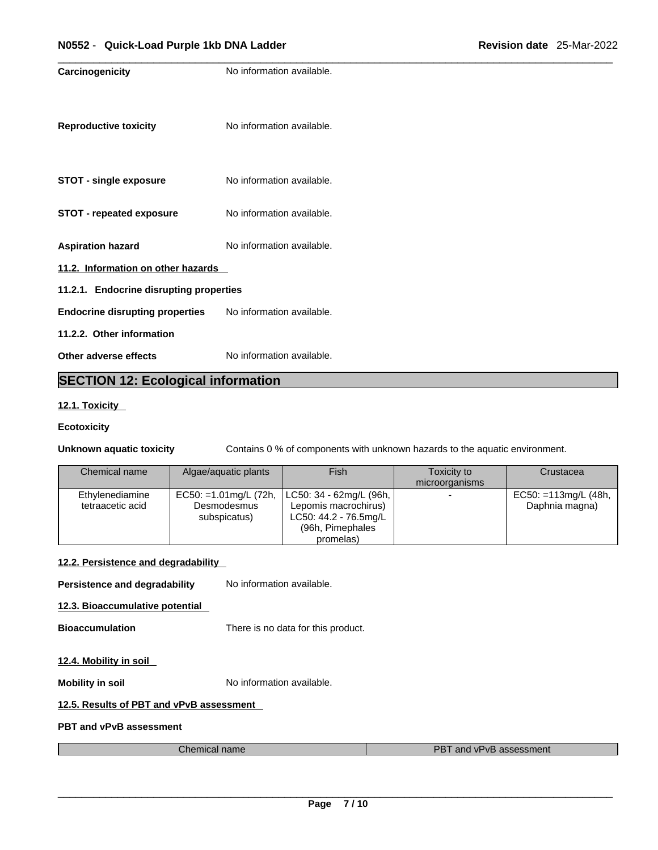| No information available.               |  |  |  |  |
|-----------------------------------------|--|--|--|--|
| No information available.               |  |  |  |  |
| No information available.               |  |  |  |  |
| No information available.               |  |  |  |  |
| No information available.               |  |  |  |  |
| 11.2. Information on other hazards      |  |  |  |  |
| 11.2.1. Endocrine disrupting properties |  |  |  |  |
| No information available.               |  |  |  |  |
|                                         |  |  |  |  |
| No information available.               |  |  |  |  |
| $\cdots$                                |  |  |  |  |

## **SECTION 12: Ecological information**

#### **12.1. Toxicity**

#### **Ecotoxicity**

**Unknown aquatic toxicity** Contains 0 % of components with unknown hazards to the aquatic environment.

| Chemical name    | Algae/aquatic plants  | Fish                    | Toxicity to    | Crustacea               |
|------------------|-----------------------|-------------------------|----------------|-------------------------|
|                  |                       |                         | microorganisms |                         |
| Ethylenediamine  | EC50: =1.01mg/L (72h, | LC50: 34 - 62mg/L (96h, |                | $EC50: = 113mg/L (48h,$ |
| tetraacetic acid | Desmodesmus           | Lepomis macrochirus)    |                | Daphnia magna)          |
|                  | subspicatus)          | LC50: 44.2 - 76.5mg/L   |                |                         |
|                  |                       | (96h, Pimephales        |                |                         |
|                  |                       | promelas)               |                |                         |

#### **12.2. Persistence and degradability**

**Persistence and degradability** No information available.

**12.3. Bioaccumulative potential**

**Bioaccumulation** There is no data for this product.

#### **12.4. Mobility in soil**

**Mobility in soil Mobility in soil No** information available.

#### **12.5. Results of PBT and vPvB assessment**

**PBT and vPvB assessment**

| Chemical name | <b>PBT</b><br>and vPvB assessment |
|---------------|-----------------------------------|
|---------------|-----------------------------------|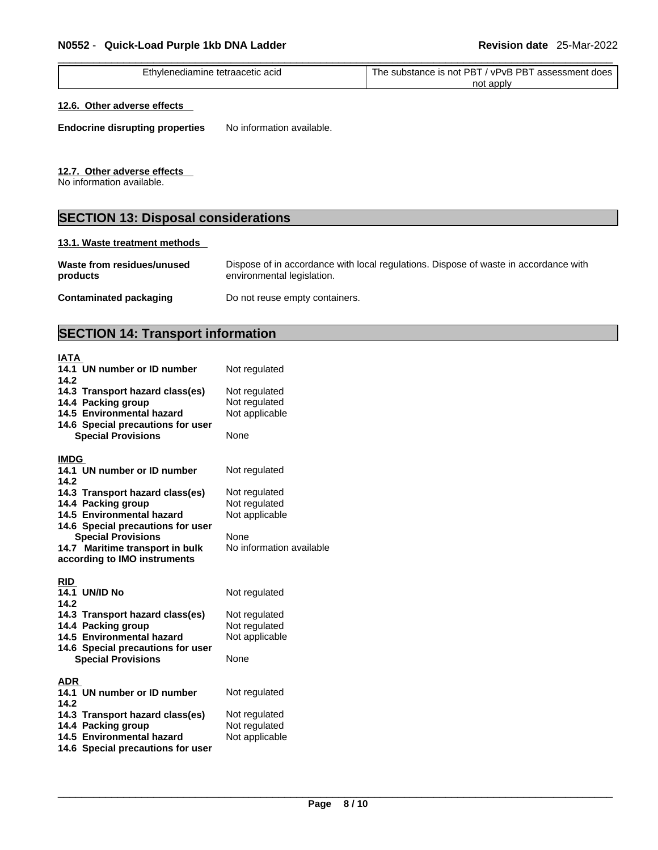| e tetraacetic acid<br>∟thvlenediamine | <b>PBT</b><br><b>PBT</b><br>∀PvB<br>assessment a<br>does<br>substance<br>⊧ is not<br>The |  |
|---------------------------------------|------------------------------------------------------------------------------------------|--|
|                                       | not<br>apply                                                                             |  |

#### **12.6. Other adverse effects**

**Endocrine disrupting properties** No information available.

#### **12.7. Other adverse effects**

No information available.

## **SECTION 13: Disposal considerations**

#### **13.1. Waste treatment methods**

| Waste from residues/unused    | Dispose of in accordance with local regulations. Dispose of waste in accordance with |
|-------------------------------|--------------------------------------------------------------------------------------|
| products                      | environmental legislation.                                                           |
| <b>Contaminated packaging</b> | Do not reuse empty containers.                                                       |

## **SECTION 14: Transport information**

| IATA                                            |                                 |
|-------------------------------------------------|---------------------------------|
| 14.1 UN number or ID number<br>14.2             | Not regulated                   |
| 14.3 Transport hazard class(es)                 | Not regulated                   |
| 14.4 Packing group                              | Not regulated                   |
| 14.5 Environmental hazard                       | Not applicable                  |
| 14.6 Special precautions for user               | None                            |
| <b>Special Provisions</b>                       |                                 |
| <b>IMDG</b>                                     |                                 |
| 14.1 UN number or ID number                     | Not regulated                   |
| 14.2                                            |                                 |
| 14.3 Transport hazard class(es)                 | Not regulated                   |
| 14.4 Packing group<br>14.5 Environmental hazard | Not regulated<br>Not applicable |
| 14.6 Special precautions for user               |                                 |
| <b>Special Provisions</b>                       | <b>None</b>                     |
| 14.7 Maritime transport in bulk                 | No information available        |
| according to IMO instruments                    |                                 |
| <b>RID</b>                                      |                                 |
| <b>14.1 UN/ID No</b>                            | Not regulated                   |
| 14.2                                            |                                 |
| 14.3 Transport hazard class(es)                 | Not regulated                   |
| 14.4 Packing group                              | Not regulated                   |
| 14.5 Environmental hazard                       | Not applicable                  |
| 14.6 Special precautions for user               |                                 |
| <b>Special Provisions</b>                       | None                            |
| ADR                                             |                                 |
| 14.1 UN number or ID number                     | Not regulated                   |
| 14.2                                            |                                 |
| 14.3 Transport hazard class(es)                 | Not regulated                   |
| 14.4 Packing group                              | Not regulated                   |
| 14.5 Environmental hazard                       | Not applicable                  |
| 14.6 Special precautions for user               |                                 |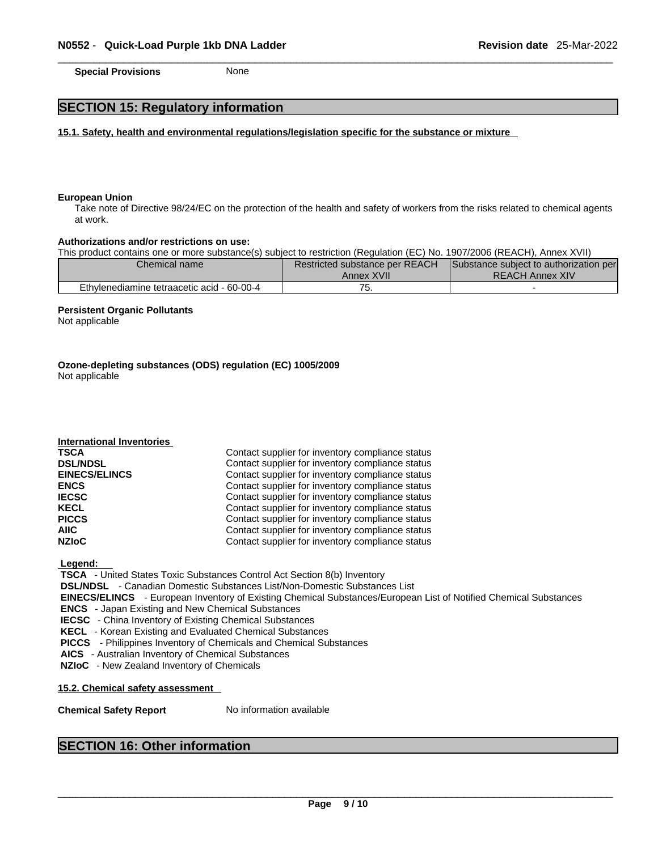**Special Provisions** None

## **SECTION 15: Regulatory information**

**15.1. Safety, health and environmental regulations/legislation specific for the substance or mixture**

#### **European Union**

Take note of Directive 98/24/EC on the protection of the health and safety of workers from the risks related to chemical agents at work.

#### **Authorizations and/or restrictions on use:**

This product contains one or more substance(s) subject to restriction (Regulation (EC) No. 1907/2006 (REACH), Annex XVII)

| Chemical name                              | Restricted substance per REACH | Substance subject to authorization per |
|--------------------------------------------|--------------------------------|----------------------------------------|
|                                            | Annex XVII                     | <b>REACH Annex XIV</b>                 |
| Ethylenediamine tetraacetic acid - 60-00-4 | . ب                            |                                        |

#### **Persistent Organic Pollutants**

**International Inventories**

Not applicable

**Ozone-depleting substances (ODS) regulation (EC) 1005/2009** Not applicable

| <b>TSCA</b>          | Contact supplier for inventory compliance status |
|----------------------|--------------------------------------------------|
| <b>DSL/NDSL</b>      | Contact supplier for inventory compliance status |
| <b>EINECS/ELINCS</b> | Contact supplier for inventory compliance status |
| <b>ENCS</b>          | Contact supplier for inventory compliance status |
| <b>IECSC</b>         | Contact supplier for inventory compliance status |
| <b>KECL</b>          | Contact supplier for inventory compliance status |
| <b>PICCS</b>         | Contact supplier for inventory compliance status |
| AIIC                 | Contact supplier for inventory compliance status |
| <b>NZIoC</b>         | Contact supplier for inventory compliance status |
|                      |                                                  |

 **Legend:** 

 **TSCA** - United States Toxic Substances Control Act Section 8(b) Inventory

 **DSL/NDSL** - Canadian Domestic Substances List/Non-Domestic Substances List

 **EINECS/ELINCS** - European Inventory of Existing Chemical Substances/European List of Notified Chemical Substances

 **ENCS** - Japan Existing and New Chemical Substances

 **IECSC** - China Inventory of Existing Chemical Substances

 **KECL** - Korean Existing and Evaluated Chemical Substances

 **PICCS** - Philippines Inventory of Chemicals and Chemical Substances

 **AICS** - Australian Inventory of Chemical Substances

 **NZIoC** - New Zealand Inventory of Chemicals

**15.2. Chemical safety assessment**

**Chemical Safety Report** No information available

#### **SECTION 16: Other information**